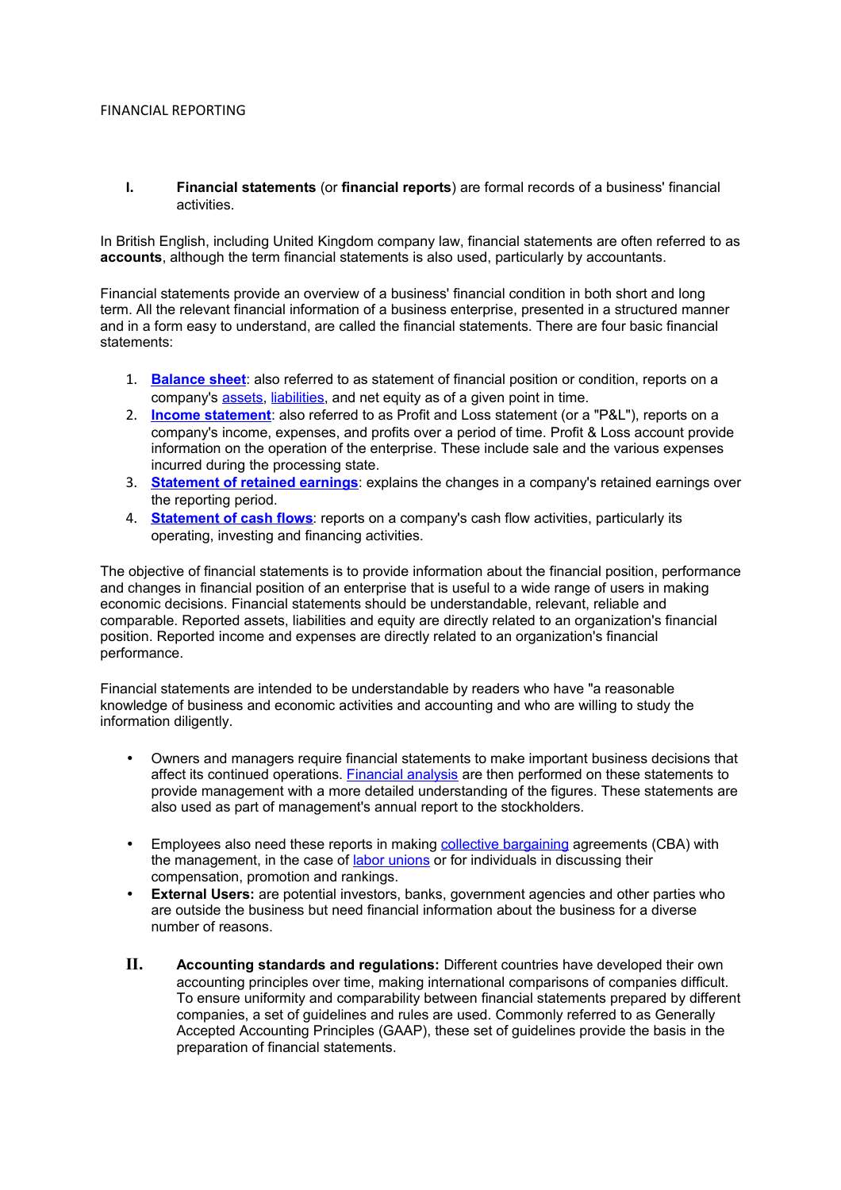## FINANCIAL REPORTING

**I. Financial statements** (or **financial reports**) are formal records of a business' financial activities.

In [British English,](http://en.wikipedia.org/wiki/British_English) including [United Kingdom company law,](http://en.wikipedia.org/wiki/United_Kingdom_company_law) financial statements are often referred to as **accounts**, although the term financial statements is also used, particularly by [accountants.](http://en.wikipedia.org/wiki/Accountant)

Financial statements provide an overview of a business' financial condition in both short and long term. All the relevant financial information of a business enterprise, presented in a structured manner and in a form easy to understand, are called the financial statements. There are four basic financial statements:

- 1. **[Balance sheet](http://en.wikipedia.org/wiki/Balance_sheet)**: also referred to as statement of financial position or condition, reports on a company's [assets,](http://en.wikipedia.org/wiki/Asset) [liabilities,](http://en.wikipedia.org/wiki/Liability) and net equity as of a given point in time.
- 2. **[Income statement](http://en.wikipedia.org/wiki/Income_statement)**: also referred to as Profit and Loss statement (or a "P&L"), reports on a company's income, expenses, and profits over a period of time. Profit & Loss account provide information on the operation of the enterprise. These include sale and the various expenses incurred during the processing state.
- 3. **[Statement of retained earnings](http://en.wikipedia.org/wiki/Statement_of_retained_earnings)**: explains the changes in a company's retained earnings over the reporting period.
- 4. **[Statement of cash flows](http://en.wikipedia.org/wiki/Statement_of_cash_flows)**: reports on a company's cash flow activities, particularly its operating, investing and financing activities.

The objective of financial statements is to provide information about the financial position, performance and changes in financial position of an enterprise that is useful to a wide range of users in making economic decisions. Financial statements should be understandable, relevant, reliable and comparable. Reported assets, liabilities and equity are directly related to an organization's financial position. Reported income and expenses are directly related to an organization's financial performance.

Financial statements are intended to be understandable by readers who have "a reasonable knowledge of business and economic activities and accounting and who are willing to study the information diligently.

- Owners and managers require financial statements to make important business decisions that affect its continued operations. [Financial analysis](http://en.wikipedia.org/wiki/Financial_analysis) are then performed on these statements to provide management with a more detailed understanding of the figures. These statements are also used as part of management's annual report to the stockholders.
- Employees also need these reports in making [collective bargaining](http://en.wikipedia.org/wiki/Collective_bargaining) agreements (CBA) with the management, in the case of [labor unions](http://en.wikipedia.org/wiki/Labor_unions) or for individuals in discussing their compensation, promotion and rankings.
- **External Users:** are potential investors, banks, government agencies and other parties who are outside the business but need financial information about the business for a diverse number of reasons.
- **II. Accounting standards and regulations:** Different countries have developed their own accounting principles over time, making international comparisons of companies difficult. To ensure uniformity and comparability between financial statements prepared by different companies, a set of guidelines and rules are used. Commonly referred to as [Generally](http://en.wikipedia.org/wiki/Generally_Accepted_Accounting_Principles) [Accepted Accounting Principles](http://en.wikipedia.org/wiki/Generally_Accepted_Accounting_Principles) (GAAP), these set of guidelines provide the basis in the preparation of financial statements.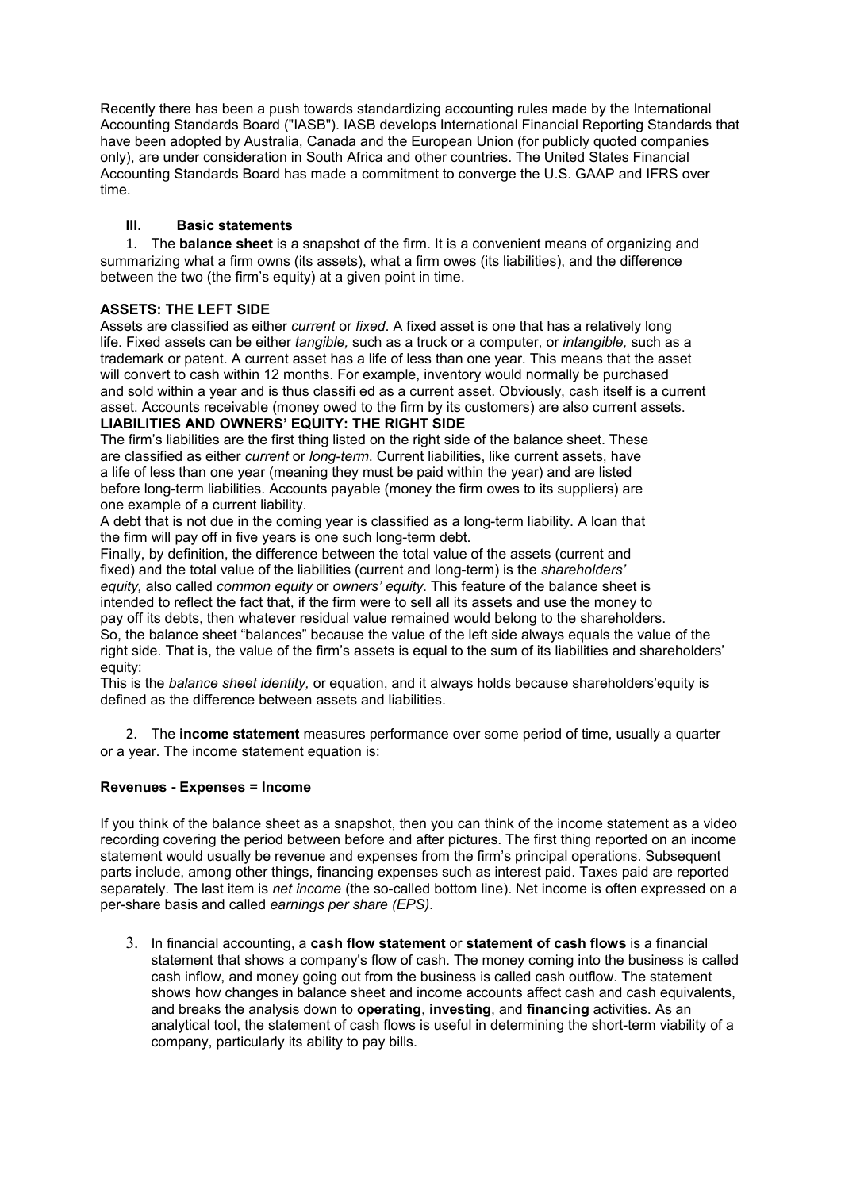Recently there has been a push towards standardizing accounting rules made by the [International](http://en.wikipedia.org/wiki/International_Accounting_Standards_Board) [Accounting Standards Board](http://en.wikipedia.org/wiki/International_Accounting_Standards_Board) ("IASB"). IASB develops [International Financial Reporting Standards](http://en.wikipedia.org/wiki/International_Financial_Reporting_Standards) that have been adopted by [Australia,](http://en.wikipedia.org/wiki/Australia) Canada and the [European Union](http://en.wikipedia.org/wiki/European_Union) (for publicly quoted companies only), are under consideration in [South Africa](http://en.wikipedia.org/wiki/South_Africa) and [other countries.](http://en.wikipedia.org/wiki/International_Financial_Reporting_Standards#Adaptation_and_convergence) The [United States](http://en.wikipedia.org/wiki/United_States) [Financial](http://en.wikipedia.org/wiki/Financial_Accounting_Standards_Board) [Accounting Standards Board](http://en.wikipedia.org/wiki/Financial_Accounting_Standards_Board) has made a commitment to converge the U.S. GAAP and IFRS over time.

## **III. Basic statements**

1. The **balance sheet** is a snapshot of the firm. It is a convenient means of organizing and summarizing what a firm owns (its assets), what a firm owes (its liabilities), and the difference between the two (the firm's equity) at a given point in time.

## **ASSETS: THE LEFT SIDE**

Assets are classified as either *current* or *fixed*. A fixed asset is one that has a relatively long life. Fixed assets can be either *tangible,* such as a truck or a computer, or *intangible,* such as a trademark or patent. A current asset has a life of less than one year. This means that the asset will convert to cash within 12 months. For example, inventory would normally be purchased and sold within a year and is thus classifi ed as a current asset. Obviously, cash itself is a current asset. Accounts receivable (money owed to the firm by its customers) are also current assets. **LIABILITIES AND OWNERS' EQUITY: THE RIGHT SIDE**

The firm's liabilities are the first thing listed on the right side of the balance sheet. These are classified as either *current* or *long-term*. Current liabilities, like current assets, have a life of less than one year (meaning they must be paid within the year) and are listed before long-term liabilities. Accounts payable (money the firm owes to its suppliers) are one example of a current liability.

A debt that is not due in the coming year is classified as a long-term liability. A loan that the firm will pay off in five years is one such long-term debt.

Finally, by definition, the difference between the total value of the assets (current and fixed) and the total value of the liabilities (current and long-term) is the *shareholders' equity,* also called *common equity* or *owners' equity*. This feature of the balance sheet is intended to reflect the fact that, if the firm were to sell all its assets and use the money to pay off its debts, then whatever residual value remained would belong to the shareholders. So, the balance sheet "balances" because the value of the left side always equals the value of the right side. That is, the value of the firm's assets is equal to the sum of its liabilities and shareholders' equity:

This is the *balance sheet identity,* or equation, and it always holds because shareholders'equity is defined as the difference between assets and liabilities.

2. The **income statement** measures performance over some period of time, usually a quarter or a year. The income statement equation is:

## **Revenues - Expenses = Income**

If you think of the balance sheet as a snapshot, then you can think of the income statement as a video recording covering the period between before and after pictures. The first thing reported on an income statement would usually be revenue and expenses from the firm's principal operations. Subsequent parts include, among other things, financing expenses such as interest paid. Taxes paid are reported separately. The last item is *net income* (the so-called bottom line). Net income is often expressed on a per-share basis and called *earnings per share (EPS)*.

3. In [financial accounting,](http://en.wikipedia.org/wiki/Financial_accounting) a **cash flow statement** or **statement of cash flows** is a [financial](http://en.wikipedia.org/wiki/Financial_statements) [statement](http://en.wikipedia.org/wiki/Financial_statements) that shows a company's flow of cash. The [money](http://en.wikipedia.org/wiki/Money) coming into the business is called cash inflow, and [money](http://en.wikipedia.org/wiki/Money) going out from the business is called cash outflow. The statement shows how changes in [balance sheet](http://en.wikipedia.org/wiki/Balance_sheet) and [income accounts](http://en.wikipedia.org/wiki/Income_account) affect [cash and cash equivalents,](http://en.wikipedia.org/wiki/Cash_and_cash_equivalents) and breaks the analysis down to **operating**, **investing**, and **financing** activities. As an analytical tool, the statement of cash flows is useful in determining the short-term viability of a company, particularly its ability to pay bills.